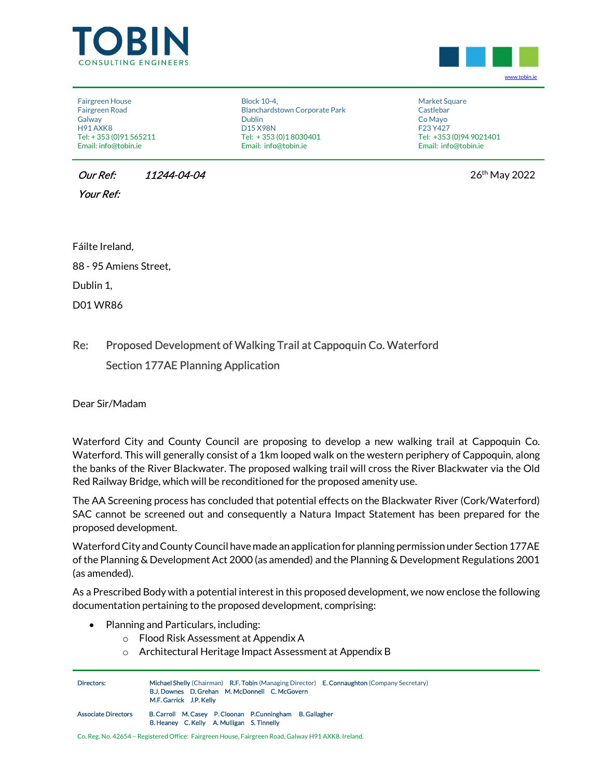



Fairgreen House Fairgreen Road Galway H91 AXK8 Tel: + 353 (0)91 565211 Email: info@tobin.ie

 Block 10-4, Blanchardstown Corporate Park Dublin D15 X98N Tel: + 353 (0)1 8030401 Email: info@tobin.ie

 Market Square Castlebar Co Mayo F23 Y427 Tel: +353 (0)94 9021401 Email: info@tobin.ie

**Our Ref: 11244-04-04** 2022

Your Ref:

Fáilte Ireland,

88 - 95 Amiens Street,

Dublin 1,

D01 WR86

## Re: Proposed Development of Walking Trail at Cappoquin Co. Waterford Section 177AE Planning Application

Dear Sir/Madam

Waterford City and County Council are proposing to develop a new walking trail at Cappoquin Co. Waterford. This will generally consist of a 1km looped walk on the western periphery of Cappoquin, along the banks of the River Blackwater. The proposed walking trail will cross the River Blackwater via the Old Red Railway Bridge, which will be reconditioned for the proposed amenity use.

The AA Screening process has concluded that potential effects on the Blackwater River (Cork/Waterford) SAC cannot be screened out and consequently a Natura Impact Statement has been prepared for the proposed development.

Waterford City and County Council have made an application for planning permission under Section 177AE of the Planning & Development Act 2000 (as amended) and the Planning & Development Regulations 2001 (as amended).

As a Prescribed Body with a potential interest in this proposed development, we now enclose the following documentation pertaining to the proposed development, comprising:

- Planning and Particulars, including:
	- o Flood Risk Assessment at Appendix A
	- o Architectural Heritage Impact Assessment at Appendix B

| Directors:                 | Michael Shelly (Chairman) R.F. Tobin (Managing Director) E. Connaughton (Company Secretary)<br><b>B.J. Downes D. Grehan M. McDonnell C. McGovern</b><br>M.F. Garrick J.P. Kelly |
|----------------------------|---------------------------------------------------------------------------------------------------------------------------------------------------------------------------------|
| <b>Associate Directors</b> | B. Carroll M. Casey P. Cloonan P. Cunningham B. Gallagher<br>B. Heaney C. Kelly A. Mulligan S. Tinnelly                                                                         |

Co. Reg. No. 42654 – Registered Office: Fairgreen House, Fairgreen Road, Galway H91 AXK8. Ireland.